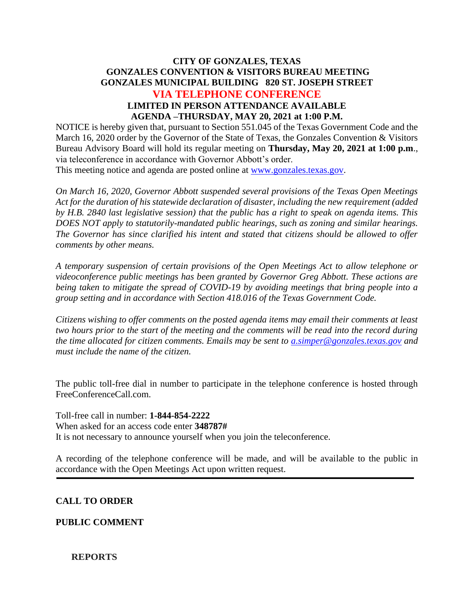# **CITY OF GONZALES, TEXAS GONZALES CONVENTION & VISITORS BUREAU MEETING GONZALES MUNICIPAL BUILDING 820 ST. JOSEPH STREET VIA TELEPHONE CONFERENCE LIMITED IN PERSON ATTENDANCE AVAILABLE AGENDA –THURSDAY, MAY 20, 2021 at 1:00 P.M.**

NOTICE is hereby given that, pursuant to Section 551.045 of the Texas Government Code and the March 16, 2020 order by the Governor of the State of Texas, the Gonzales Convention & Visitors Bureau Advisory Board will hold its regular meeting on **Thursday, May 20, 2021 at 1:00 p.m**., via teleconference in accordance with Governor Abbott's order.

This meeting notice and agenda are posted online at [www.gonzales.texas.gov.](http://www.gonzales.texas.gov/)

*On March 16, 2020, Governor Abbott suspended several provisions of the Texas Open Meetings Act for the duration of his statewide declaration of disaster, including the new requirement (added by H.B. 2840 last legislative session) that the public has a right to speak on agenda items. This DOES NOT apply to statutorily-mandated public hearings, such as zoning and similar hearings. The Governor has since clarified his intent and stated that citizens should be allowed to offer comments by other means.*

*A temporary suspension of certain provisions of the Open Meetings Act to allow telephone or videoconference public meetings has been granted by Governor Greg Abbott. These actions are being taken to mitigate the spread of COVID-19 by avoiding meetings that bring people into a group setting and in accordance with Section 418.016 of the Texas Government Code.*

*Citizens wishing to offer comments on the posted agenda items may email their comments at least two hours prior to the start of the meeting and the comments will be read into the record during the time allocated for citizen comments. Emails may be sent to [a.simper@gonzales.texas.gov](mailto:a.simper@gonzales.texas.gov) and must include the name of the citizen.*

The public toll-free dial in number to participate in the telephone conference is hosted through FreeConferenceCall.com.

Toll-free call in number: **1-844-854-2222** When asked for an access code enter **348787#** It is not necessary to announce yourself when you join the teleconference.

A recording of the telephone conference will be made, and will be available to the public in accordance with the Open Meetings Act upon written request.

# **CALL TO ORDER**

### **PUBLIC COMMENT**

### **REPORTS**